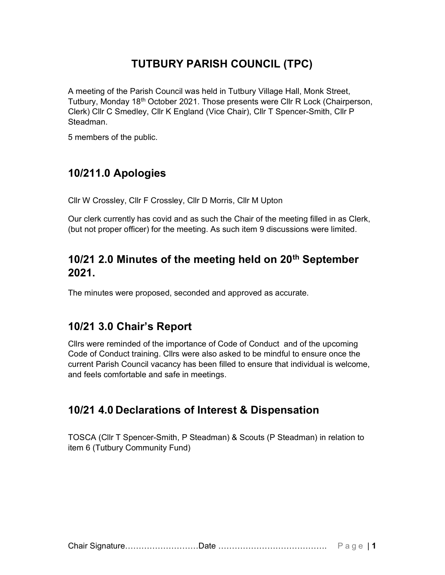# TUTBURY PARISH COUNCIL (TPC)

A meeting of the Parish Council was held in Tutbury Village Hall, Monk Street, Tutbury, Monday 18th October 2021. Those presents were Cllr R Lock (Chairperson, Clerk) Cllr C Smedley, Cllr K England (Vice Chair), Cllr T Spencer-Smith, Cllr P Steadman.

5 members of the public.

# 10/211.0 Apologies

Cllr W Crossley, Cllr F Crossley, Cllr D Morris, Cllr M Upton

Our clerk currently has covid and as such the Chair of the meeting filled in as Clerk, (but not proper officer) for the meeting. As such item 9 discussions were limited.

### 10/21 2.0 Minutes of the meeting held on 20<sup>th</sup> September 2021.

The minutes were proposed, seconded and approved as accurate.

## 10/21 3.0 Chair's Report

Cllrs were reminded of the importance of Code of Conduct and of the upcoming Code of Conduct training. Cllrs were also asked to be mindful to ensure once the current Parish Council vacancy has been filled to ensure that individual is welcome, and feels comfortable and safe in meetings.

### 10/21 4.0 Declarations of Interest & Dispensation

TOSCA (Cllr T Spencer-Smith, P Steadman) & Scouts (P Steadman) in relation to item 6 (Tutbury Community Fund)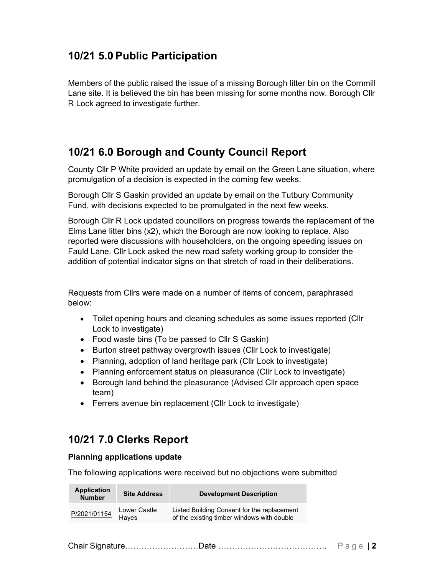### 10/21 5.0 Public Participation

Members of the public raised the issue of a missing Borough litter bin on the Cornmill Lane site. It is believed the bin has been missing for some months now. Borough Cllr R Lock agreed to investigate further.

### 10/21 6.0 Borough and County Council Report

County Cllr P White provided an update by email on the Green Lane situation, where promulgation of a decision is expected in the coming few weeks.

Borough Cllr S Gaskin provided an update by email on the Tutbury Community Fund, with decisions expected to be promulgated in the next few weeks.

Borough Cllr R Lock updated councillors on progress towards the replacement of the Elms Lane litter bins (x2), which the Borough are now looking to replace. Also reported were discussions with householders, on the ongoing speeding issues on Fauld Lane. Cllr Lock asked the new road safety working group to consider the addition of potential indicator signs on that stretch of road in their deliberations.

Requests from Cllrs were made on a number of items of concern, paraphrased below:

- Toilet opening hours and cleaning schedules as some issues reported (Cllr Lock to investigate)
- Food waste bins (To be passed to Cllr S Gaskin)
- Burton street pathway overgrowth issues (Cllr Lock to investigate)
- Planning, adoption of land heritage park (Cllr Lock to investigate)
- Planning enforcement status on pleasurance (Cllr Lock to investigate)
- Borough land behind the pleasurance (Advised Cllr approach open space team)
- Ferrers avenue bin replacement (Cllr Lock to investigate)

## 10/21 7.0 Clerks Report

#### Planning applications update

The following applications were received but no objections were submitted

| <b>Application</b><br><b>Number</b> | <b>Site Address</b>          | <b>Development Description</b>                                                            |
|-------------------------------------|------------------------------|-------------------------------------------------------------------------------------------|
| P/2021/01154                        | Lower Castle<br><b>Haves</b> | Listed Building Consent for the replacement<br>of the existing timber windows with double |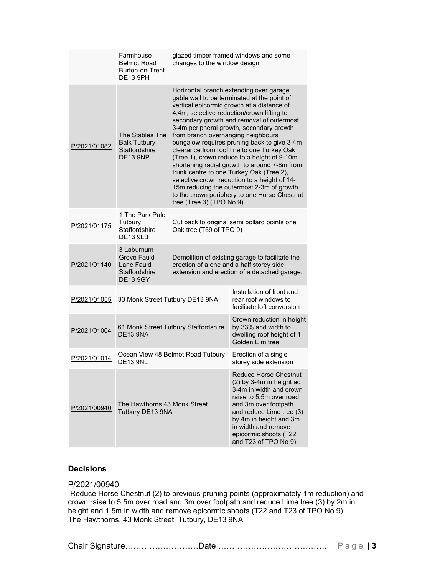|              | Farmhouse<br><b>Belmot Road</b><br>Burton-on-Trent<br><b>DE13 9PH</b>       | glazed timber framed windows and some<br>changes to the window design                                                                                                                                                                                                                                                                                                                                                                                                                                                                                                                                                                                                                                                              |                                                                                                                                                                                                                                                                        |  |  |
|--------------|-----------------------------------------------------------------------------|------------------------------------------------------------------------------------------------------------------------------------------------------------------------------------------------------------------------------------------------------------------------------------------------------------------------------------------------------------------------------------------------------------------------------------------------------------------------------------------------------------------------------------------------------------------------------------------------------------------------------------------------------------------------------------------------------------------------------------|------------------------------------------------------------------------------------------------------------------------------------------------------------------------------------------------------------------------------------------------------------------------|--|--|
| P/2021/01082 | The Stables The<br><b>Balk Tutbury</b><br>Staffordshire<br><b>DE13 9NP</b>  | Horizontal branch extending over garage<br>gable wall to be terminated at the point of<br>vertical epicormic growth at a distance of<br>4.4m, selective reduction/crown lifting to<br>secondary growth and removal of outermost<br>3-4m peripheral growth, secondary growth<br>from branch overhanging neighbours<br>bungalow requires pruning back to give 3-4m<br>clearance from roof line to one Turkey Oak<br>(Tree 1), crown reduce to a height of 9-10m<br>shortening radial growth to around 7-8m from<br>trunk centre to one Turkey Oak (Tree 2),<br>selective crown reduction to a height of 14-<br>15m reducing the outermost 2-3m of growth<br>to the crown periphery to one Horse Chestnut<br>tree (Tree 3) (TPO No 9) |                                                                                                                                                                                                                                                                        |  |  |
| P/2021/01175 | 1 The Park Pale<br>Tutbury<br>Staffordshire<br><b>DE13 9LB</b>              | Cut back to original semi pollard points one<br>Oak tree (T59 of TPO 9)                                                                                                                                                                                                                                                                                                                                                                                                                                                                                                                                                                                                                                                            |                                                                                                                                                                                                                                                                        |  |  |
| P/2021/01140 | 3 Laburnum<br>Grove Fauld<br>Lane Fauld<br>Staffordshire<br><b>DE13 9GY</b> | Demolition of existing garage to facilitate the<br>erection of a one and a half storey side<br>extension and erection of a detached garage.                                                                                                                                                                                                                                                                                                                                                                                                                                                                                                                                                                                        |                                                                                                                                                                                                                                                                        |  |  |
| P/2021/01055 | 33 Monk Street Tutbury DE13 9NA                                             |                                                                                                                                                                                                                                                                                                                                                                                                                                                                                                                                                                                                                                                                                                                                    | Installation of front and<br>rear roof windows to<br>facilitate loft conversion                                                                                                                                                                                        |  |  |
| P/2021/01064 | 61 Monk Street Tutbury Staffordshire<br><b>DE13 9NA</b>                     |                                                                                                                                                                                                                                                                                                                                                                                                                                                                                                                                                                                                                                                                                                                                    | Crown reduction in height<br>by 33% and width to<br>dwelling roof height of 1<br>Golden Elm tree                                                                                                                                                                       |  |  |
| P/2021/01014 | Ocean View 48 Belmot Road Tutbury<br><b>DE13 9NL</b>                        |                                                                                                                                                                                                                                                                                                                                                                                                                                                                                                                                                                                                                                                                                                                                    | Erection of a single<br>storey side extension                                                                                                                                                                                                                          |  |  |
| P/2021/00940 | The Hawthorns 43 Monk Street<br>Tutbury DE13 9NA                            |                                                                                                                                                                                                                                                                                                                                                                                                                                                                                                                                                                                                                                                                                                                                    | <b>Reduce Horse Chestnut</b><br>$(2)$ by 3-4m in height ad<br>3-4m in width and crown<br>raise to 5.5m over road<br>and 3m over footpath<br>and reduce Lime tree (3)<br>by 4m in height and 3m<br>in width and remove<br>epicormic shoots (T22<br>and T23 of TPO No 9) |  |  |

### Decisions

#### P/2021/00940

Reduce Horse Chestnut (2) to previous pruning points (approximately 1m reduction) and crown raise to 5.5m over road and 3m over footpath and reduce Lime tree (3) by 2m in height and 1.5m in width and remove epicormic shoots (T22 and T23 of TPO No 9) The Hawthorns, 43 Monk Street, Tutbury, DE13 9NA

Chair Signature………………………Date …………………………………. P a g e | 3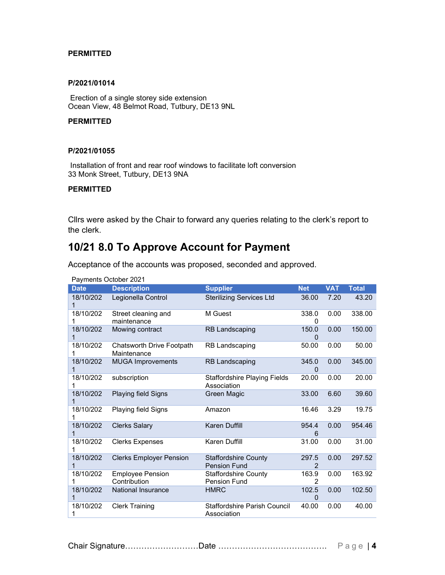#### **PERMITTED**

#### P/2021/01014

Erection of a single storey side extension Ocean View, 48 Belmot Road, Tutbury, DE13 9NL

#### **PERMITTED**

#### P/2021/01055

Installation of front and rear roof windows to facilitate loft conversion 33 Monk Street, Tutbury, DE13 9NA

#### **PERMITTED**

Cllrs were asked by the Chair to forward any queries relating to the clerk's report to the clerk.

### 10/21 8.0 To Approve Account for Payment

| Payments October 2021 |                                          |                                                    |                   |            |              |  |
|-----------------------|------------------------------------------|----------------------------------------------------|-------------------|------------|--------------|--|
| <b>Date</b>           | <b>Description</b>                       | <b>Supplier</b>                                    | <b>Net</b>        | <b>VAT</b> | <b>Total</b> |  |
| 18/10/202<br>1        | Legionella Control                       | <b>Sterilizing Services Ltd</b>                    | 36.00             | 7.20       | 43.20        |  |
| 18/10/202<br>1        | Street cleaning and<br>maintenance       | M Guest                                            | 338.0<br>0        | 0.00       | 338.00       |  |
| 18/10/202<br>1        | Mowing contract                          | <b>RB Landscaping</b>                              | 150.0<br>$\Omega$ | 0.00       | 150.00       |  |
| 18/10/202<br>1        | Chatsworth Drive Footpath<br>Maintenance | <b>RB Landscaping</b>                              | 50.00             | 0.00       | 50.00        |  |
| 18/10/202<br>1        | <b>MUGA Improvements</b>                 | <b>RB Landscaping</b>                              | 345.0<br>$\Omega$ | 0.00       | 345.00       |  |
| 18/10/202<br>1        | subscription                             | <b>Staffordshire Playing Fields</b><br>Association | 20.00             | 0.00       | 20.00        |  |
| 18/10/202<br>1        | Playing field Signs                      | Green Magic                                        | 33.00             | 6.60       | 39.60        |  |
| 18/10/202<br>1        | <b>Playing field Signs</b>               | Amazon                                             | 16.46             | 3.29       | 19.75        |  |
| 18/10/202<br>1        | <b>Clerks Salary</b>                     | <b>Karen Duffill</b>                               | 954.4<br>6        | 0.00       | 954.46       |  |
| 18/10/202<br>1        | <b>Clerks Expenses</b>                   | <b>Karen Duffill</b>                               | 31.00             | 0.00       | 31.00        |  |
| 18/10/202<br>1        | <b>Clerks Employer Pension</b>           | <b>Staffordshire County</b><br><b>Pension Fund</b> | 297.5<br>2        | 0.00       | 297.52       |  |
| 18/10/202<br>1        | <b>Employee Pension</b><br>Contribution  | <b>Staffordshire County</b><br><b>Pension Fund</b> | 163.9<br>2        | 0.00       | 163.92       |  |
| 18/10/202<br>1        | <b>National Insurance</b>                | <b>HMRC</b>                                        | 102.5<br>$\Omega$ | 0.00       | 102.50       |  |
| 18/10/202<br>1        | <b>Clerk Training</b>                    | <b>Staffordshire Parish Council</b><br>Association | 40.00             | 0.00       | 40.00        |  |

Acceptance of the accounts was proposed, seconded and approved.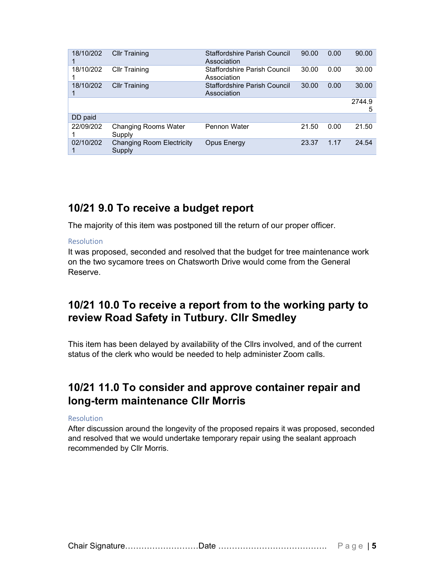| 18/10/202 | <b>Cllr Training</b>                  | Staffordshire Parish Council<br>Association        | 90.00 | 0.00 | 90.00       |
|-----------|---------------------------------------|----------------------------------------------------|-------|------|-------------|
| 18/10/202 | <b>Cllr Training</b>                  | <b>Staffordshire Parish Council</b><br>Association | 30.00 | 0.00 | 30.00       |
| 18/10/202 | <b>Cllr Training</b>                  | Staffordshire Parish Council<br>Association        | 30.00 | 0.00 | 30.00       |
|           |                                       |                                                    |       |      | 2744.9<br>5 |
| DD paid   |                                       |                                                    |       |      |             |
| 22/09/202 | <b>Changing Rooms Water</b><br>Supply | <b>Pennon Water</b>                                | 21.50 | 0.00 | 21.50       |
| 02/10/202 | Changing Room Electricity<br>Supply   | Opus Energy                                        | 23.37 | 1.17 | 24.54       |

### 10/21 9.0 To receive a budget report

The majority of this item was postponed till the return of our proper officer.

#### Resolution

It was proposed, seconded and resolved that the budget for tree maintenance work on the two sycamore trees on Chatsworth Drive would come from the General Reserve.

### 10/21 10.0 To receive a report from to the working party to review Road Safety in Tutbury. Cllr Smedley

This item has been delayed by availability of the Cllrs involved, and of the current status of the clerk who would be needed to help administer Zoom calls.

## 10/21 11.0 To consider and approve container repair and long-term maintenance Cllr Morris

#### Resolution

After discussion around the longevity of the proposed repairs it was proposed, seconded and resolved that we would undertake temporary repair using the sealant approach recommended by Cllr Morris.